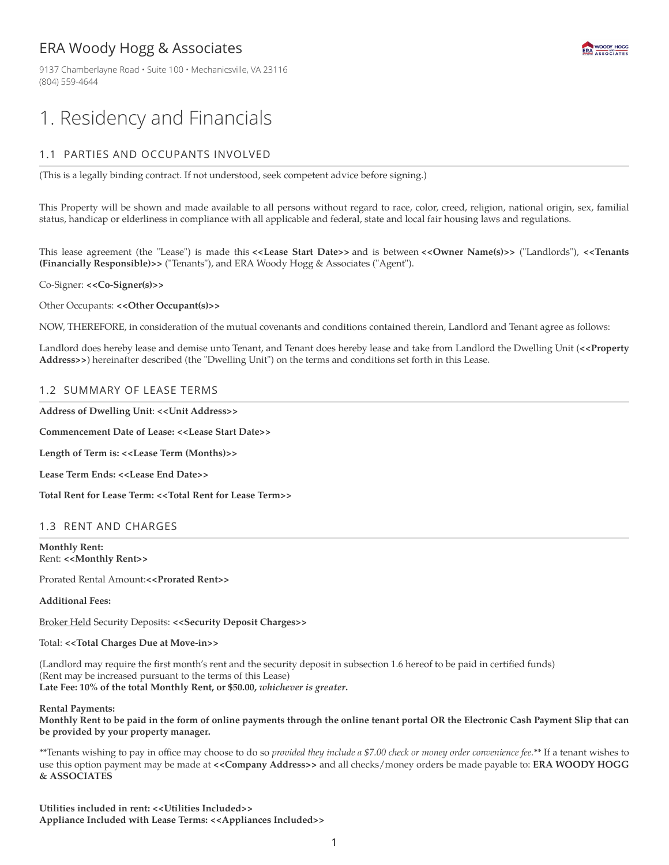# ERA Woody Hogg & Associates

9137 Chamberlayne Road · Suite 100 · Mechanicsville, VA 23116 (804) 559-4644



# 1. Residency and Financials

# 1.1 PARTIES AND OCCUPANTS INVOLVED

(This is a legally binding contract. If not understood, seek competent advice before signing.)

This Property will be shown and made available to all persons without regard to race, color, creed, religion, national origin, sex, familial status, handicap or elderliness in compliance with all applicable and federal, state and local fair housing laws and regulations.

This lease agreement (the "Lease") is made this **<<Lease Start Date>>** and is between **<<Owner Name(s)>>** ("Landlords"), **<<Tenants (Financially Responsible)>>** ("Tenants"), and ERA Woody Hogg & Associates ("Agent").

Co-Signer: **<<Co-Signer(s)>>**

#### Other Occupants: **<<Other Occupant(s)>>**

NOW, THEREFORE, in consideration of the mutual covenants and conditions contained therein, Landlord and Tenant agree as follows:

Landlord does hereby lease and demise unto Tenant, and Tenant does hereby lease and take from Landlord the Dwelling Unit (**<<Property Address>>**) hereinafter described (the "Dwelling Unit") on the terms and conditions set forth in this Lease.

### 1.2 SUMMARY OF LEASE TERMS

**Address of Dwelling Unit**: **<<Unit Address>>**

**Commencement Date of Lease: <<Lease Start Date>>**

**Length of Term is: <<Lease Term (Months)>>**

**Lease Term Ends: <<Lease End Date>>**

**Total Rent for Lease Term: <<Total Rent for Lease Term>>**

#### 1.3 RENT AND CHARGES

**Monthly Rent:** Rent: **<<Monthly Rent>>**

Prorated Rental Amount:**<<Prorated Rent>>**

**Additional Fees:**

Broker Held Security Deposits: **<<Security Deposit Charges>>**

Total: **<<Total Charges Due at Move-in>>**

(Landlord may require the first month's rent and the security deposit in subsection 1.6 hereof to be paid in certified funds) (Rent may be increased pursuant to the terms of this Lease) **Late Fee: 10% of the total Monthly Rent, or \$50.00,** *whichever is greater***.**

#### **Rental Payments:**

Monthly Rent to be paid in the form of online payments through the online tenant portal OR the Electronic Cash Payment Slip that can **be provided by your property manager.**

\*\*Tenants wishing to pay in office may choose to do so *provided they include a \$7.00 check or money order convenience fee.*\*\* If a tenant wishes to use this option payment may be made at **<<Company Address>>** and all checks/money orders be made payable to: **ERA WOODY HOGG & ASSOCIATES**

**Utilities included in rent: <<Utilities Included>> Appliance Included with Lease Terms: <<Appliances Included>>**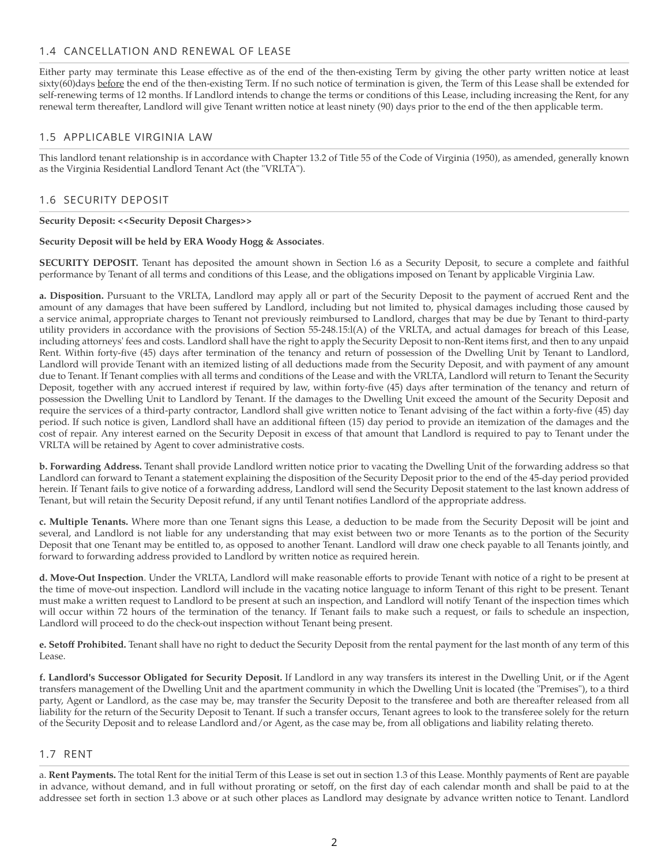### 1.4 CANCELLATION AND RENEWAL OF LEASE

Either party may terminate this Lease effective as of the end of the then-existing Term by giving the other party written notice at least sixty(60)days before the end of the then-existing Term. If no such notice of termination is given, the Term of this Lease shall be extended for self-renewing terms of 12 months. If Landlord intends to change the terms or conditions of this Lease, including increasing the Rent, for any renewal term thereafter, Landlord will give Tenant written notice at least ninety (90) days prior to the end of the then applicable term.

#### 1.5 APPLICABLE VIRGINIA LAW

This landlord tenant relationship is in accordance with Chapter 13.2 of Title 55 of the Code of Virginia (1950), as amended, generally known as the Virginia Residential Landlord Tenant Act (the "VRLTA").

#### 1.6 SECURITY DEPOSIT

#### **Security Deposit: <<Security Deposit Charges>>**

#### **Security Deposit will be held by ERA Woody Hogg & Associates**.

**SECURITY DEPOSIT.** Tenant has deposited the amount shown in Section l.6 as a Security Deposit, to secure a complete and faithful performance by Tenant of all terms and conditions of this Lease, and the obligations imposed on Tenant by applicable Virginia Law.

**a. Disposition.** Pursuant to the VRLTA, Landlord may apply all or part of the Security Deposit to the payment of accrued Rent and the amount of any damages that have been suffered by Landlord, including but not limited to, physical damages including those caused by a service animal, appropriate charges to Tenant not previously reimbursed to Landlord, charges that may be due by Tenant to third-party utility providers in accordance with the provisions of Section 55-248.15:l(A) of the VRLTA, and actual damages for breach of this Lease, including attorneys' fees and costs. Landlord shall have the right to apply the Security Deposit to non-Rent items first, and then to any unpaid Rent. Within forty-five (45) days after termination of the tenancy and return of possession of the Dwelling Unit by Tenant to Landlord, Landlord will provide Tenant with an itemized listing of all deductions made from the Security Deposit, and with payment of any amount due to Tenant. If Tenant complies with all terms and conditions of the Lease and with the VRLTA, Landlord will return to Tenant the Security Deposit, together with any accrued interest if required by law, within forty-five (45) days after termination of the tenancy and return of possession the Dwelling Unit to Landlord by Tenant. If the damages to the Dwelling Unit exceed the amount of the Security Deposit and require the services of a third-party contractor, Landlord shall give written notice to Tenant advising of the fact within a forty-five (45) day period. If such notice is given, Landlord shall have an additional fifteen (15) day period to provide an itemization of the damages and the cost of repair. Any interest earned on the Security Deposit in excess of that amount that Landlord is required to pay to Tenant under the VRLTA will be retained by Agent to cover administrative costs.

**b. Forwarding Address.** Tenant shall provide Landlord written notice prior to vacating the Dwelling Unit of the forwarding address so that Landlord can forward to Tenant a statement explaining the disposition of the Security Deposit prior to the end of the 45-day period provided herein. If Tenant fails to give notice of a forwarding address, Landlord will send the Security Deposit statement to the last known address of Tenant, but will retain the Security Deposit refund, if any until Tenant notifies Landlord of the appropriate address.

**c. Multiple Tenants.** Where more than one Tenant signs this Lease, a deduction to be made from the Security Deposit will be joint and several, and Landlord is not liable for any understanding that may exist between two or more Tenants as to the portion of the Security Deposit that one Tenant may be entitled to, as opposed to another Tenant. Landlord will draw one check payable to all Tenants jointly, and forward to forwarding address provided to Landlord by written notice as required herein.

**d. Move-Out Inspection**. Under the VRLTA, Landlord will make reasonable efforts to provide Tenant with notice of a right to be present at the time of move-out inspection. Landlord will include in the vacating notice language to inform Tenant of this right to be present. Tenant must make a written request to Landlord to be present at such an inspection, and Landlord will notify Tenant of the inspection times which will occur within 72 hours of the termination of the tenancy. If Tenant fails to make such a request, or fails to schedule an inspection, Landlord will proceed to do the check-out inspection without Tenant being present.

**e. Setoff Prohibited.** Tenant shall have no right to deduct the Security Deposit from the rental payment for the last month of any term of this Lease.

**f. Landlord's Successor Obligated for Security Deposit.** If Landlord in any way transfers its interest in the Dwelling Unit, or if the Agent transfers management of the Dwelling Unit and the apartment community in which the Dwelling Unit is located (the "Premises"), to a third party, Agent or Landlord, as the case may be, may transfer the Security Deposit to the transferee and both are thereafter released from all liability for the return of the Security Deposit to Tenant. If such a transfer occurs, Tenant agrees to look to the transferee solely for the return of the Security Deposit and to release Landlord and/or Agent, as the case may be, from all obligations and liability relating thereto.

#### 1.7 RENT

a. **Rent Payments.** The total Rent for the initial Term of this Lease is set out in section 1.3 of this Lease. Monthly payments of Rent are payable in advance, without demand, and in full without prorating or setoff, on the first day of each calendar month and shall be paid to at the addressee set forth in section 1.3 above or at such other places as Landlord may designate by advance written notice to Tenant. Landlord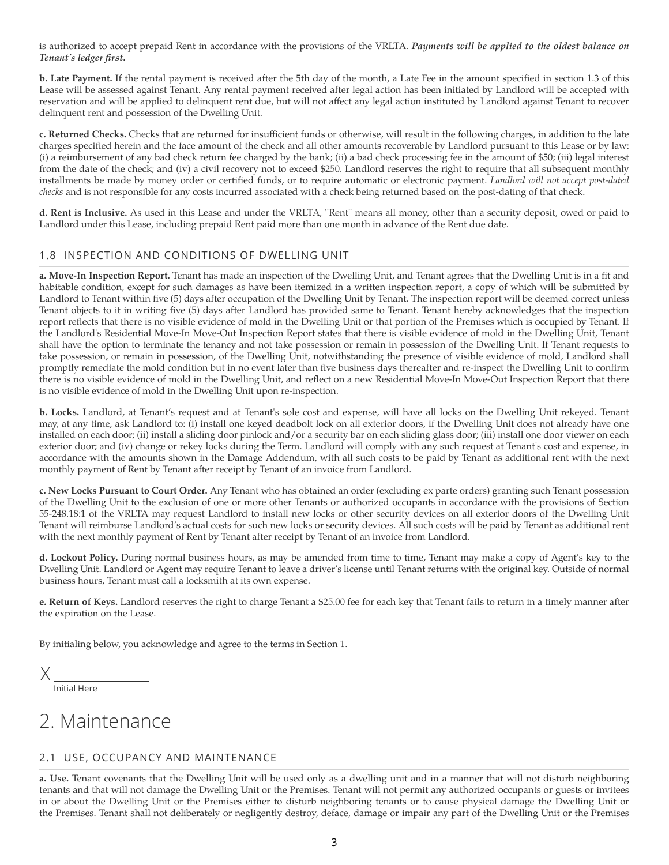is authorized to accept prepaid Rent in accordance with the provisions of the VRLTA. *Payments will be applied to the oldest balance on Tenant's ledger first.*

**b. Late Payment.** If the rental payment is received after the 5th day of the month, a Late Fee in the amount specified in section 1.3 of this Lease will be assessed against Tenant. Any rental payment received after legal action has been initiated by Landlord will be accepted with reservation and will be applied to delinquent rent due, but will not affect any legal action instituted by Landlord against Tenant to recover delinquent rent and possession of the Dwelling Unit.

**c. Returned Checks.** Checks that are returned for insufficient funds or otherwise, will result in the following charges, in addition to the late charges specified herein and the face amount of the check and all other amounts recoverable by Landlord pursuant to this Lease or by law: (i) a reimbursement of any bad check return fee charged by the bank; (ii) a bad check processing fee in the amount of \$50; (iii) legal interest from the date of the check; and (iv) a civil recovery not to exceed \$250. Landlord reserves the right to require that all subsequent monthly installments be made by money order or certified funds, or to require automatic or electronic payment. *Landlord will not accept post-dated checks* and is not responsible for any costs incurred associated with a check being returned based on the post-dating of that check.

**d. Rent is Inclusive.** As used in this Lease and under the VRLTA, ''Rent" means all money, other than a security deposit, owed or paid to Landlord under this Lease, including prepaid Rent paid more than one month in advance of the Rent due date.

# 1.8 INSPECTION AND CONDITIONS OF DWELLING UNIT

**a. Move-In Inspection Report.** Tenant has made an inspection of the Dwelling Unit, and Tenant agrees that the Dwelling Unit is in a fit and habitable condition, except for such damages as have been itemized in a written inspection report, a copy of which will be submitted by Landlord to Tenant within five (5) days after occupation of the Dwelling Unit by Tenant. The inspection report will be deemed correct unless Tenant objects to it in writing five (5) days after Landlord has provided same to Tenant. Tenant hereby acknowledges that the inspection report reflects that there is no visible evidence of mold in the Dwelling Unit or that portion of the Premises which is occupied by Tenant. If the Landlord's Residential Move-In Move-Out Inspection Report states that there is visible evidence of mold in the Dwelling Unit, Tenant shall have the option to terminate the tenancy and not take possession or remain in possession of the Dwelling Unit. If Tenant requests to take possession, or remain in possession, of the Dwelling Unit, notwithstanding the presence of visible evidence of mold, Landlord shall promptly remediate the mold condition but in no event later than five business days thereafter and re-inspect the Dwelling Unit to confirm there is no visible evidence of mold in the Dwelling Unit, and reflect on a new Residential Move-In Move-Out Inspection Report that there is no visible evidence of mold in the Dwelling Unit upon re-inspection.

**b. Locks.** Landlord, at Tenant's request and at Tenant's sole cost and expense, will have all locks on the Dwelling Unit rekeyed. Tenant may, at any time, ask Landlord to: (i) install one keyed deadbolt lock on all exterior doors, if the Dwelling Unit does not already have one installed on each door; (ii) install a sliding door pinlock and/or a security bar on each sliding glass door; (iii) install one door viewer on each exterior door; and (iv) change or rekey locks during the Term. Landlord will comply with any such request at Tenant's cost and expense, in accordance with the amounts shown in the Damage Addendum, with all such costs to be paid by Tenant as additional rent with the next monthly payment of Rent by Tenant after receipt by Tenant of an invoice from Landlord.

**c. New Locks Pursuant to Court Order.** Any Tenant who has obtained an order (excluding ex parte orders) granting such Tenant possession of the Dwelling Unit to the exclusion of one or more other Tenants or authorized occupants in accordance with the provisions of Section 55-248.18:1 of the VRLTA may request Landlord to install new locks or other security devices on all exterior doors of the Dwelling Unit Tenant will reimburse Landlord's actual costs for such new locks or security devices. All such costs will be paid by Tenant as additional rent with the next monthly payment of Rent by Tenant after receipt by Tenant of an invoice from Landlord.

**d. Lockout Policy.** During normal business hours, as may be amended from time to time, Tenant may make a copy of Agent's key to the Dwelling Unit. Landlord or Agent may require Tenant to leave a driver's license until Tenant returns with the original key. Outside of normal business hours, Tenant must call a locksmith at its own expense.

**e. Return of Keys.** Landlord reserves the right to charge Tenant a \$25.00 fee for each key that Tenant fails to return in a timely manner after the expiration on the Lease.

By initialing below, you acknowledge and agree to the terms in Section 1.

X

Initial Here

# 2. Maintenance

# 2.1 USE, OCCUPANCY AND MAINTENANCE

**a. Use.** Tenant covenants that the Dwelling Unit will be used only as a dwelling unit and in a manner that will not disturb neighboring tenants and that will not damage the Dwelling Unit or the Premises. Tenant will not permit any authorized occupants or guests or invitees in or about the Dwelling Unit or the Premises either to disturb neighboring tenants or to cause physical damage the Dwelling Unit or the Premises. Tenant shall not deliberately or negligently destroy, deface, damage or impair any part of the Dwelling Unit or the Premises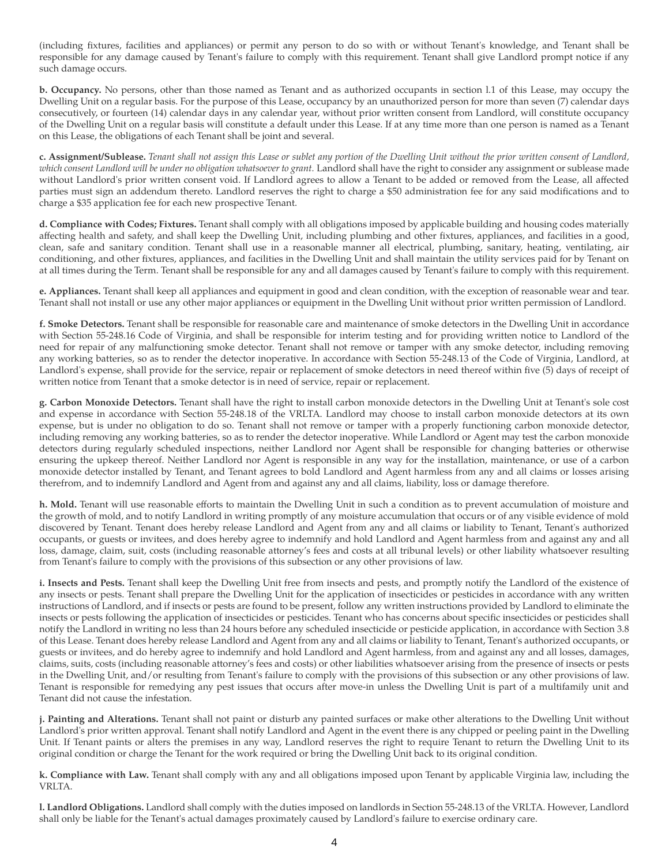(including fixtures, facilities and appliances) or permit any person to do so with or without Tenant's knowledge, and Tenant shall be responsible for any damage caused by Tenant's failure to comply with this requirement. Tenant shall give Landlord prompt notice if any such damage occurs.

**b. Occupancy.** No persons, other than those named as Tenant and as authorized occupants in section l.1 of this Lease, may occupy the Dwelling Unit on a regular basis. For the purpose of this Lease, occupancy by an unauthorized person for more than seven (7) calendar days consecutively, or fourteen (14) calendar days in any calendar year, without prior written consent from Landlord, will constitute occupancy of the Dwelling Unit on a regular basis will constitute a default under this Lease. If at any time more than one person is named as a Tenant on this Lease, the obligations of each Tenant shall be joint and several.

c. Assignment/Sublease. Tenant shall not assign this Lease or sublet any portion of the Dwelling Unit without the prior written consent of Landlord, *which consent Landlord will be under no obligation whatsoever to grant.* Landlord shall have the right to consider any assignment or sublease made without Landlord's prior written consent void. If Landlord agrees to allow a Tenant to be added or removed from the Lease, all affected parties must sign an addendum thereto. Landlord reserves the right to charge a \$50 administration fee for any said modifications and to charge a \$35 application fee for each new prospective Tenant.

**d. Compliance with Codes; Fixtures.** Tenant shall comply with all obligations imposed by applicable building and housing codes materially affecting health and safety, and shall keep the Dwelling Unit, including plumbing and other fixtures, appliances, and facilities in a good, clean, safe and sanitary condition. Tenant shall use in a reasonable manner all electrical, plumbing, sanitary, heating, ventilating, air conditioning, and other fixtures, appliances, and facilities in the Dwelling Unit and shall maintain the utility services paid for by Tenant on at all times during the Term. Tenant shall be responsible for any and all damages caused by Tenant's failure to comply with this requirement.

**e. Appliances.** Tenant shall keep all appliances and equipment in good and clean condition, with the exception of reasonable wear and tear. Tenant shall not install or use any other major appliances or equipment in the Dwelling Unit without prior written permission of Landlord.

**f. Smoke Detectors.** Tenant shall be responsible for reasonable care and maintenance of smoke detectors in the Dwelling Unit in accordance with Section 55-248.16 Code of Virginia, and shall be responsible for interim testing and for providing written notice to Landlord of the need for repair of any malfunctioning smoke detector. Tenant shall not remove or tamper with any smoke detector, including removing any working batteries, so as to render the detector inoperative. In accordance with Section 55-248.13 of the Code of Virginia, Landlord, at Landlord's expense, shall provide for the service, repair or replacement of smoke detectors in need thereof within five (5) days of receipt of written notice from Tenant that a smoke detector is in need of service, repair or replacement.

**g. Carbon Monoxide Detectors.** Tenant shall have the right to install carbon monoxide detectors in the Dwelling Unit at Tenant's sole cost and expense in accordance with Section 55-248.18 of the VRLTA. Landlord may choose to install carbon monoxide detectors at its own expense, but is under no obligation to do so. Tenant shall not remove or tamper with a properly functioning carbon monoxide detector, including removing any working batteries, so as to render the detector inoperative. While Landlord or Agent may test the carbon monoxide detectors during regularly scheduled inspections, neither Landlord nor Agent shall be responsible for changing batteries or otherwise ensuring the upkeep thereof. Neither Landlord nor Agent is responsible in any way for the installation, maintenance, or use of a carbon monoxide detector installed by Tenant, and Tenant agrees to bold Landlord and Agent harmless from any and all claims or losses arising therefrom, and to indemnify Landlord and Agent from and against any and all claims, liability, loss or damage therefore.

**h. Mold.** Tenant will use reasonable efforts to maintain the Dwelling Unit in such a condition as to prevent accumulation of moisture and the growth of mold, and to notify Landlord in writing promptly of any moisture accumulation that occurs or of any visible evidence of mold discovered by Tenant. Tenant does hereby release Landlord and Agent from any and all claims or liability to Tenant, Tenant's authorized occupants, or guests or invitees, and does hereby agree to indemnify and hold Landlord and Agent harmless from and against any and all loss, damage, claim, suit, costs (including reasonable attorney's fees and costs at all tribunal levels) or other liability whatsoever resulting from Tenant's failure to comply with the provisions of this subsection or any other provisions of law.

**i. Insects and Pests.** Tenant shall keep the Dwelling Unit free from insects and pests, and promptly notify the Landlord of the existence of any insects or pests. Tenant shall prepare the Dwelling Unit for the application of insecticides or pesticides in accordance with any written instructions of Landlord, and if insects or pests are found to be present, follow any written instructions provided by Landlord to eliminate the insects or pests following the application of insecticides or pesticides. Tenant who has concerns about specific insecticides or pesticides shall notify the Landlord in writing no less than 24 hours before any scheduled insecticide or pesticide application, in accordance with Section 3.8 of this Lease. Tenant does hereby release Landlord and Agent from any and all claims or liability to Tenant, Tenant's authorized occupants, or guests or invitees, and do hereby agree to indemnify and hold Landlord and Agent harmless, from and against any and all losses, damages, claims, suits, costs (including reasonable attorney's fees and costs) or other liabilities whatsoever arising from the presence of insects or pests in the Dwelling Unit, and/or resulting from Tenant's failure to comply with the provisions of this subsection or any other provisions of law. Tenant is responsible for remedying any pest issues that occurs after move-in unless the Dwelling Unit is part of a multifamily unit and Tenant did not cause the infestation.

**j. Painting and Alterations.** Tenant shall not paint or disturb any painted surfaces or make other alterations to the Dwelling Unit without Landlord's prior written approval. Tenant shall notify Landlord and Agent in the event there is any chipped or peeling paint in the Dwelling Unit. If Tenant paints or alters the premises in any way, Landlord reserves the right to require Tenant to return the Dwelling Unit to its original condition or charge the Tenant for the work required or bring the Dwelling Unit back to its original condition.

**k. Compliance with Law.** Tenant shall comply with any and all obligations imposed upon Tenant by applicable Virginia law, including the VRLTA.

**l. Landlord Obligations.** Landlord shall comply with the duties imposed on landlords in Section 55-248.13 of the VRLTA. However, Landlord shall only be liable for the Tenant's actual damages proximately caused by Landlord's failure to exercise ordinary care.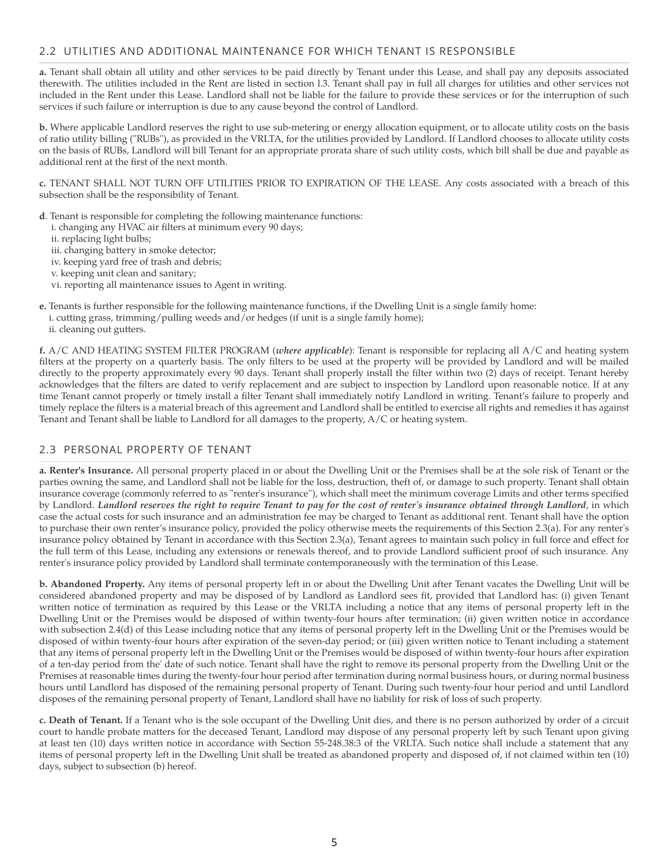### 2.2 UTILITIES AND ADDITIONAL MAINTENANCE FOR WHICH TENANT IS RESPONSIBLE

**a.** Tenant shall obtain all utility and other services to be paid directly by Tenant under this Lease, and shall pay any deposits associated therewith. The utilities included in the Rent are listed in section l.3. Tenant shall pay in full all charges for utilities and other services not included in the Rent under this Lease. Landlord shall not be liable for the failure to provide these services or for the interruption of such services if such failure or interruption is due to any cause beyond the control of Landlord.

**b.** Where applicable Landlord reserves the right to use sub-metering or energy allocation equipment, or to allocate utility costs on the basis of ratio utility billing ("RUBs"), as provided in the VRLTA, for the utilities provided by Landlord. If Landlord chooses to allocate utility costs on the basis of RUBs, Landlord will bill Tenant for an appropriate prorata share of such utility costs, which bill shall be due and payable as additional rent at the first of the next month.

**c.** TENANT SHALL NOT TURN OFF UTILITIES PRIOR TO EXPIRATION OF THE LEASE. Any costs associated with a breach of this subsection shall be the responsibility of Tenant.

- **d**. Tenant is responsible for completing the following maintenance functions:
	- i. changing any HVAC air filters at minimum every 90 days;
	- ii. replacing light bulbs;
	- iii. changing battery in smoke detector;
	- iv. keeping yard free of trash and debris;
	- v. keeping unit clean and sanitary;
	- vi. reporting all maintenance issues to Agent in writing.
- **e.** Tenants is further responsible for the following maintenance functions, if the Dwelling Unit is a single family home: i. cutting grass, trimming/pulling weeds and/or hedges (if unit is a single family home);
	- ii. cleaning out gutters.

**f.** A/C AND HEATING SYSTEM FILTER PROGRAM (*where applicable*): Tenant is responsible for replacing all A/C and heating system filters at the property on a quarterly basis. The only filters to be used at the property will be provided by Landlord and will be mailed directly to the property approximately every 90 days. Tenant shall properly install the filter within two (2) days of receipt. Tenant hereby acknowledges that the filters are dated to verify replacement and are subject to inspection by Landlord upon reasonable notice. If at any time Tenant cannot properly or timely install a filter Tenant shall immediately notify Landlord in writing. Tenant's failure to properly and timely replace the filters is a material breach of this agreement and Landlord shall be entitled to exercise all rights and remedies it has against Tenant and Tenant shall be liable to Landlord for all damages to the property, A/C or heating system.

#### 2.3 PERSONAL PROPERTY OF TENANT

**a. Renter's Insurance.** All personal property placed in or about the Dwelling Unit or the Premises shall be at the sole risk of Tenant or the parties owning the same, and Landlord shall not be liable for the loss, destruction, theft of, or damage to such property. Tenant shall obtain insurance coverage (commonly referred to as "renter's insurance''), which shall meet the minimum coverage Limits and other terms specified by Landlord. Landlord reserves the right to require Tenant to pay for the cost of renter's insurance obtained through Landlord, in which case the actual costs for such insurance and an administration fee may be charged to Tenant as additional rent. Tenant shall have the option to purchase their own renter's insurance policy, provided the policy otherwise meets the requirements of this Section 2.3(a). For any renter's insurance policy obtained by Tenant in accordance with this Section 2.3(a), Tenant agrees to maintain such policy in full force and effect for the full term of this Lease, including any extensions or renewals thereof, and to provide Landlord sufficient proof of such insurance. Any renter's insurance policy provided by Landlord shall terminate contemporaneously with the termination of this Lease.

**b. Abandoned Property.** Any items of personal property left in or about the Dwelling Unit after Tenant vacates the Dwelling Unit will be considered abandoned property and may be disposed of by Landlord as Landlord sees fit, provided that Landlord has: (i) given Tenant written notice of termination as required by this Lease or the VRLTA including a notice that any items of personal property left in the Dwelling Unit or the Premises would be disposed of within twenty-four hours after termination; (ii) given written notice in accordance with subsection 2.4(d) of this Lease including notice that any items of personal property left in the Dwelling Unit or the Premises would be disposed of within twenty-four hours after expiration of the seven-day period; or (iii) given written notice to Tenant including a statement that any items of personal property left in the Dwelling Unit or the Premises would be disposed of within twenty-four hours after expiration of a ten-day period from the' date of such notice. Tenant shall have the right to remove its personal property from the Dwelling Unit or the Premises at reasonable times during the twenty-four hour period after termination during normal business hours, or during normal business hours until Landlord has disposed of the remaining personal property of Tenant. During such twenty-four hour period and until Landlord disposes of the remaining personal property of Tenant, Landlord shall have no liability for risk of loss of such property.

**c. Death of Tenant.** If a Tenant who is the sole occupant of the Dwelling Unit dies, and there is no person authorized by order of a circuit court to handle probate matters for the deceased Tenant, Landlord may dispose of any personal property left by such Tenant upon giving at least ten (10) days written notice in accordance with Section 55-248.38:3 of the VRLTA. Such notice shall include a statement that any items of personal property left in the Dwelling Unit shall be treated as abandoned property and disposed of, if not claimed within ten (10) days, subject to subsection (b) hereof.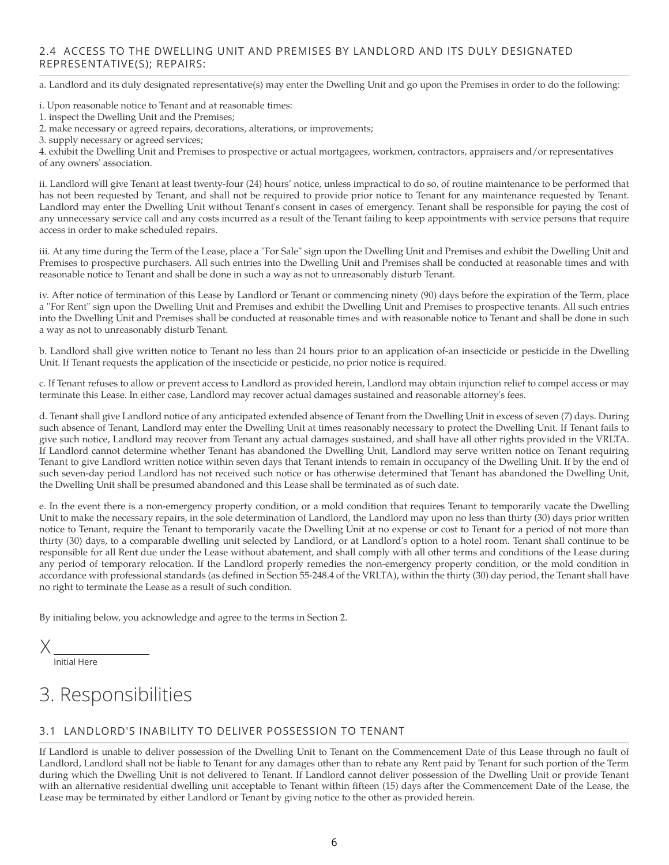# 2.4 ACCESS TO THE DWELLING UNIT AND PREMISES BY LANDLORD AND ITS DULY DESIGNATED REPRESENTATIVE(S); REPAIRS:

a. Landlord and its duly designated representative(s) may enter the Dwelling Unit and go upon the Premises in order to do the following:

i. Upon reasonable notice to Tenant and at reasonable times:

2. make necessary or agreed repairs, decorations, alterations, or improvements;

4. exhibit the Dwelling Unit and Premises to prospective or actual mortgagees, workmen, contractors, appraisers and/or representatives of any owners' association.

ii. Landlord will give Tenant at least twenty-four (24) hours' notice, unless impractical to do so, of routine maintenance to be performed that has not been requested by Tenant, and shall not be required to provide prior notice to Tenant for any maintenance requested by Tenant. Landlord may enter the Dwelling Unit without Tenant's consent in cases of emergency. Tenant shall be responsible for paying the cost of any unnecessary service call and any costs incurred as a result of the Tenant failing to keep appointments with service persons that require access in order to make scheduled repairs.

iii. At any time during the Term of the Lease, place a "For Sale" sign upon the Dwelling Unit and Premises and exhibit the Dwelling Unit and Premises to prospective purchasers. All such entries into the Dwelling Unit and Premises shall be conducted at reasonable times and with reasonable notice to Tenant and shall be done in such a way as not to unreasonably disturb Tenant.

iv. After notice of termination of this Lease by Landlord or Tenant or commencing ninety (90) days before the expiration of the Term, place a ''For Rent" sign upon the Dwelling Unit and Premises and exhibit the Dwelling Unit and Premises to prospective tenants. All such entries into the Dwelling Unit and Premises shall be conducted at reasonable times and with reasonable notice to Tenant and shall be done in such a way as not to unreasonably disturb Tenant.

b. Landlord shall give written notice to Tenant no less than 24 hours prior to an application of-an insecticide or pesticide in the Dwelling Unit. If Tenant requests the application of the insecticide or pesticide, no prior notice is required.

c. If Tenant refuses to allow or prevent access to Landlord as provided herein, Landlord may obtain injunction relief to compel access or may terminate this Lease. In either case, Landlord may recover actual damages sustained and reasonable attorney's fees.

d. Tenant shall give Landlord notice of any anticipated extended absence of Tenant from the Dwelling Unit in excess of seven (7) days. During such absence of Tenant, Landlord may enter the Dwelling Unit at times reasonably necessary to protect the Dwelling Unit. If Tenant fails to give such notice, Landlord may recover from Tenant any actual damages sustained, and shall have all other rights provided in the VRLTA. If Landlord cannot determine whether Tenant has abandoned the Dwelling Unit, Landlord may serve written notice on Tenant requiring Tenant to give Landlord written notice within seven days that Tenant intends to remain in occupancy of the Dwelling Unit. If by the end of such seven-day period Landlord has not received such notice or has otherwise determined that Tenant has abandoned the Dwelling Unit, the Dwelling Unit shall be presumed abandoned and this Lease shall be terminated as of such date.

e. In the event there is a non-emergency property condition, or a mold condition that requires Tenant to temporarily vacate the Dwelling Unit to make the necessary repairs, in the sole determination of Landlord, the Landlord may upon no less than thirty (30) days prior written notice to Tenant, require the Tenant to temporarily vacate the Dwelling Unit at no expense or cost to Tenant for a period of not more than thirty (30) days, to a comparable dwelling unit selected by Landlord, or at Landlord's option to a hotel room. Tenant shall continue to be responsible for all Rent due under the Lease without abatement, and shall comply with all other terms and conditions of the Lease during any period of temporary relocation. If the Landlord properly remedies the non-emergency property condition, or the mold condition in accordance with professional standards (as defined in Section 55-248.4 of the VRLTA), within the thirty (30) day period, the Tenant shall have no right to terminate the Lease as a result of such condition.

By initialing below, you acknowledge and agree to the terms in Section 2.

Initial Here

# 3. Responsibilities

# 3.1 LANDLORD'S INABILITY TO DELIVER POSSESSION TO TENANT

If Landlord is unable to deliver possession of the Dwelling Unit to Tenant on the Commencement Date of this Lease through no fault of Landlord, Landlord shall not be liable to Tenant for any damages other than to rebate any Rent paid by Tenant for such portion of the Term during which the Dwelling Unit is not delivered to Tenant. If Landlord cannot deliver possession of the Dwelling Unit or provide Tenant with an alternative residential dwelling unit acceptable to Tenant within fifteen (15) days after the Commencement Date of the Lease, the Lease may be terminated by either Landlord or Tenant by giving notice to the other as provided herein.

<sup>1.</sup> inspect the Dwelling Unit and the Premises;

<sup>3.</sup> supply necessary or agreed services;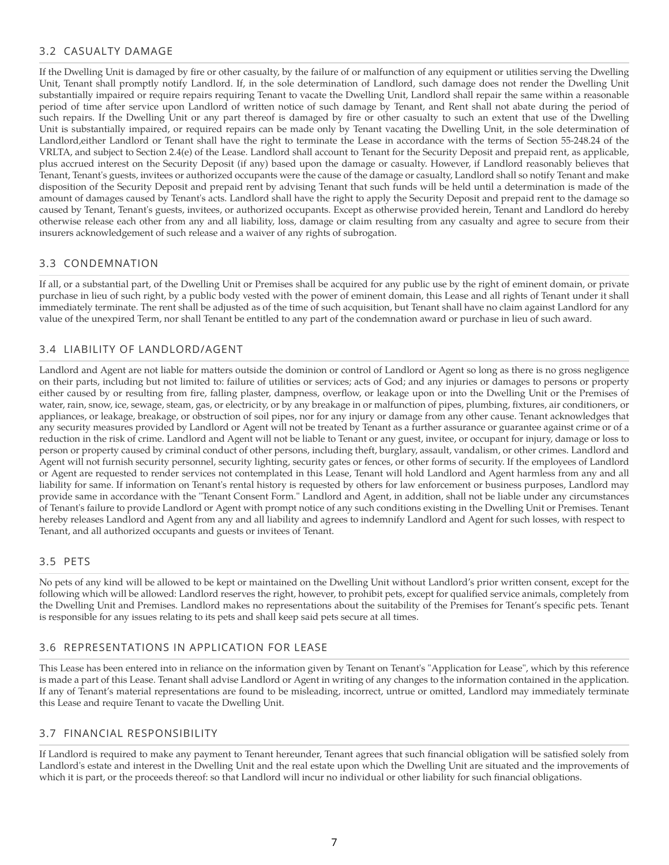# 3.2 CASUALTY DAMAGE

If the Dwelling Unit is damaged by fire or other casualty, by the failure of or malfunction of any equipment or utilities serving the Dwelling Unit, Tenant shall promptly notify Landlord. If, in the sole determination of Landlord, such damage does not render the Dwelling Unit substantially impaired or require repairs requiring Tenant to vacate the Dwelling Unit, Landlord shall repair the same within a reasonable period of time after service upon Landlord of written notice of such damage by Tenant, and Rent shall not abate during the period of such repairs. If the Dwelling Unit or any part thereof is damaged by fire or other casualty to such an extent that use of the Dwelling Unit is substantially impaired, or required repairs can be made only by Tenant vacating the Dwelling Unit, in the sole determination of Landlord,either Landlord or Tenant shall have the right to terminate the Lease in accordance with the terms of Section 55-248.24 of the VRLTA, and subject to Section 2.4(e) of the Lease. Landlord shall account to Tenant for the Security Deposit and prepaid rent, as applicable, plus accrued interest on the Security Deposit (if any) based upon the damage or casualty. However, if Landlord reasonably believes that Tenant, Tenant's guests, invitees or authorized occupants were the cause of the damage or casualty, Landlord shall so notify Tenant and make disposition of the Security Deposit and prepaid rent by advising Tenant that such funds will be held until a determination is made of the amount of damages caused by Tenant's acts. Landlord shall have the right to apply the Security Deposit and prepaid rent to the damage so caused by Tenant, Tenant's guests, invitees, or authorized occupants. Except as otherwise provided herein, Tenant and Landlord do hereby otherwise release each other from any and all liability, loss, damage or claim resulting from any casualty and agree to secure from their insurers acknowledgement of such release and a waiver of any rights of subrogation.

### 3.3 CONDEMNATION

If all, or a substantial part, of the Dwelling Unit or Premises shall be acquired for any public use by the right of eminent domain, or private purchase in lieu of such right, by a public body vested with the power of eminent domain, this Lease and all rights of Tenant under it shall immediately terminate. The rent shall be adjusted as of the time of such acquisition, but Tenant shall have no claim against Landlord for any value of the unexpired Term, nor shall Tenant be entitled to any part of the condemnation award or purchase in lieu of such award.

# 3.4 LIABILITY OF LANDLORD/AGENT

Landlord and Agent are not liable for matters outside the dominion or control of Landlord or Agent so long as there is no gross negligence on their parts, including but not limited to: failure of utilities or services; acts of God; and any injuries or damages to persons or property either caused by or resulting from fire, falling plaster, dampness, overflow, or leakage upon or into the Dwelling Unit or the Premises of water, rain, snow, ice, sewage, steam, gas, or electricity, or by any breakage in or malfunction of pipes, plumbing, fixtures, air conditioners, or appliances, or leakage, breakage, or obstruction of soil pipes, nor for any injury or damage from any other cause. Tenant acknowledges that any security measures provided by Landlord or Agent will not be treated by Tenant as a further assurance or guarantee against crime or of a reduction in the risk of crime. Landlord and Agent will not be liable to Tenant or any guest, invitee, or occupant for injury, damage or loss to person or property caused by criminal conduct of other persons, including theft, burglary, assault, vandalism, or other crimes. Landlord and Agent will not furnish security personnel, security lighting, security gates or fences, or other forms of security. If the employees of Landlord or Agent are requested to render services not contemplated in this Lease, Tenant will hold Landlord and Agent harmless from any and all liability for same. If information on Tenant's rental history is requested by others for law enforcement or business purposes, Landlord may provide same in accordance with the "Tenant Consent Form." Landlord and Agent, in addition, shall not be liable under any circumstances of Tenant's failure to provide Landlord or Agent with prompt notice of any such conditions existing in the Dwelling Unit or Premises. Tenant hereby releases Landlord and Agent from any and all liability and agrees to indemnify Landlord and Agent for such losses, with respect to Tenant, and all authorized occupants and guests or invitees of Tenant.

# 3.5 PETS

No pets of any kind will be allowed to be kept or maintained on the Dwelling Unit without Landlord's prior written consent, except for the following which will be allowed: Landlord reserves the right, however, to prohibit pets, except for qualified service animals, completely from the Dwelling Unit and Premises. Landlord makes no representations about the suitability of the Premises for Tenant's specific pets. Tenant is responsible for any issues relating to its pets and shall keep said pets secure at all times.

#### 3.6 REPRESENTATIONS IN APPLICATION FOR LEASE

This Lease has been entered into in reliance on the information given by Tenant on Tenant's "Application for Lease", which by this reference is made a part of this Lease. Tenant shall advise Landlord or Agent in writing of any changes to the information contained in the application. If any of Tenant's material representations are found to be misleading, incorrect, untrue or omitted, Landlord may immediately terminate this Lease and require Tenant to vacate the Dwelling Unit.

#### 3.7 FINANCIAL RESPONSIBILITY

If Landlord is required to make any payment to Tenant hereunder, Tenant agrees that such financial obligation will be satisfied solely from Landlord's estate and interest in the Dwelling Unit and the real estate upon which the Dwelling Unit are situated and the improvements of which it is part, or the proceeds thereof: so that Landlord will incur no individual or other liability for such financial obligations.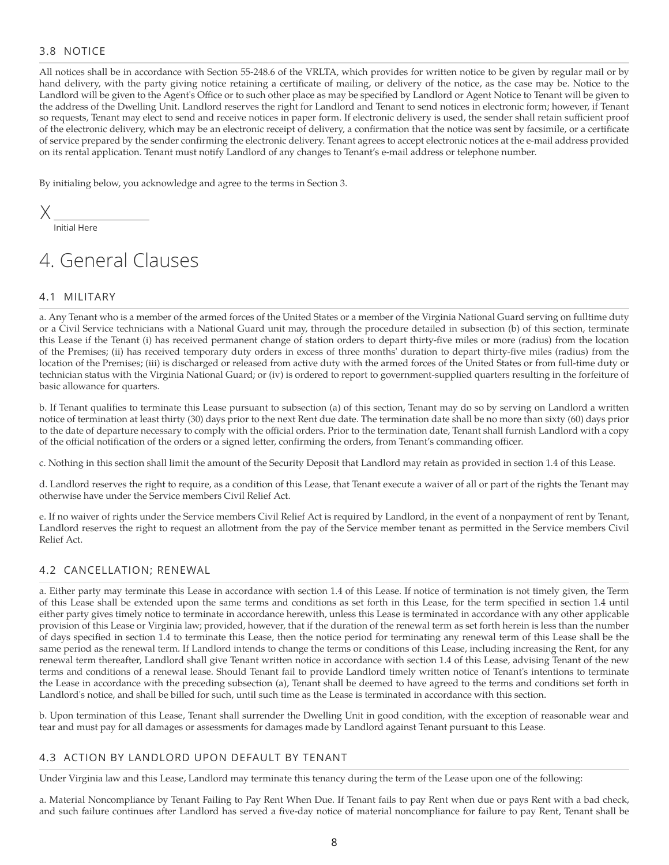# 3.8 NOTICE

All notices shall be in accordance with Section 55-248.6 of the VRLTA, which provides for written notice to be given by regular mail or by hand delivery, with the party giving notice retaining a certificate of mailing, or delivery of the notice, as the case may be. Notice to the Landlord will be given to the Agent's Office or to such other place as may be specified by Landlord or Agent Notice to Tenant will be given to the address of the Dwelling Unit. Landlord reserves the right for Landlord and Tenant to send notices in electronic form; however, if Tenant so requests, Tenant may elect to send and receive notices in paper form. If electronic delivery is used, the sender shall retain sufficient proof of the electronic delivery, which may be an electronic receipt of delivery, a confirmation that the notice was sent by facsimile, or a certificate of service prepared by the sender confirming the electronic delivery. Tenant agrees to accept electronic notices at the e-mail address provided on its rental application. Tenant must notify Landlord of any changes to Tenant's e-mail address or telephone number.

By initialing below, you acknowledge and agree to the terms in Section 3.

X

Initial Here

# 4. General Clauses

# 4.1 MILITARY

a. Any Tenant who is a member of the armed forces of the United States or a member of the Virginia National Guard serving on fulltime duty or a Civil Service technicians with a National Guard unit may, through the procedure detailed in subsection (b) of this section, terminate this Lease if the Tenant (i) has received permanent change of station orders to depart thirty-five miles or more (radius) from the location of the Premises; (ii) has received temporary duty orders in excess of three months' duration to depart thirty-five miles (radius) from the location of the Premises; (iii) is discharged or released from active duty with the armed forces of the United States or from full-time duty or technician status with the Virginia National Guard; or (iv) is ordered to report to government-supplied quarters resulting in the forfeiture of basic allowance for quarters.

b. If Tenant qualifies to terminate this Lease pursuant to subsection (a) of this section, Tenant may do so by serving on Landlord a written notice of termination at least thirty (30) days prior to the next Rent due date. The termination date shall be no more than sixty (60) days prior to the date of departure necessary to comply with the official orders. Prior to the termination date, Tenant shall furnish Landlord with a copy of the official notification of the orders or a signed letter, confirming the orders, from Tenant's commanding officer.

c. Nothing in this section shall limit the amount of the Security Deposit that Landlord may retain as provided in section 1.4 of this Lease.

d. Landlord reserves the right to require, as a condition of this Lease, that Tenant execute a waiver of all or part of the rights the Tenant may otherwise have under the Service members Civil Relief Act.

e. If no waiver of rights under the Service members Civil Relief Act is required by Landlord, in the event of a nonpayment of rent by Tenant, Landlord reserves the right to request an allotment from the pay of the Service member tenant as permitted in the Service members Civil Relief Act.

#### 4.2 CANCELLATION; RENEWAL

a. Either party may terminate this Lease in accordance with section 1.4 of this Lease. If notice of termination is not timely given, the Term of this Lease shall be extended upon the same terms and conditions as set forth in this Lease, for the term specified in section 1.4 until either party gives timely notice to terminate in accordance herewith, unless this Lease is terminated in accordance with any other applicable provision of this Lease or Virginia law; provided, however, that if the duration of the renewal term as set forth herein is less than the number of days specified in section 1.4 to terminate this Lease, then the notice period for terminating any renewal term of this Lease shall be the same period as the renewal term. If Landlord intends to change the terms or conditions of this Lease, including increasing the Rent, for any renewal term thereafter, Landlord shall give Tenant written notice in accordance with section 1.4 of this Lease, advising Tenant of the new terms and conditions of a renewal lease. Should Tenant fail to provide Landlord timely written notice of Tenant's intentions to terminate the Lease in accordance with the preceding subsection (a), Tenant shall be deemed to have agreed to the terms and conditions set forth in Landlord's notice, and shall be billed for such, until such time as the Lease is terminated in accordance with this section.

b. Upon termination of this Lease, Tenant shall surrender the Dwelling Unit in good condition, with the exception of reasonable wear and tear and must pay for all damages or assessments for damages made by Landlord against Tenant pursuant to this Lease.

#### 4.3 ACTION BY LANDLORD UPON DEFAULT BY TENANT

Under Virginia law and this Lease, Landlord may terminate this tenancy during the term of the Lease upon one of the following:

a. Material Noncompliance by Tenant Failing to Pay Rent When Due. If Tenant fails to pay Rent when due or pays Rent with a bad check, and such failure continues after Landlord has served a five-day notice of material noncompliance for failure to pay Rent, Tenant shall be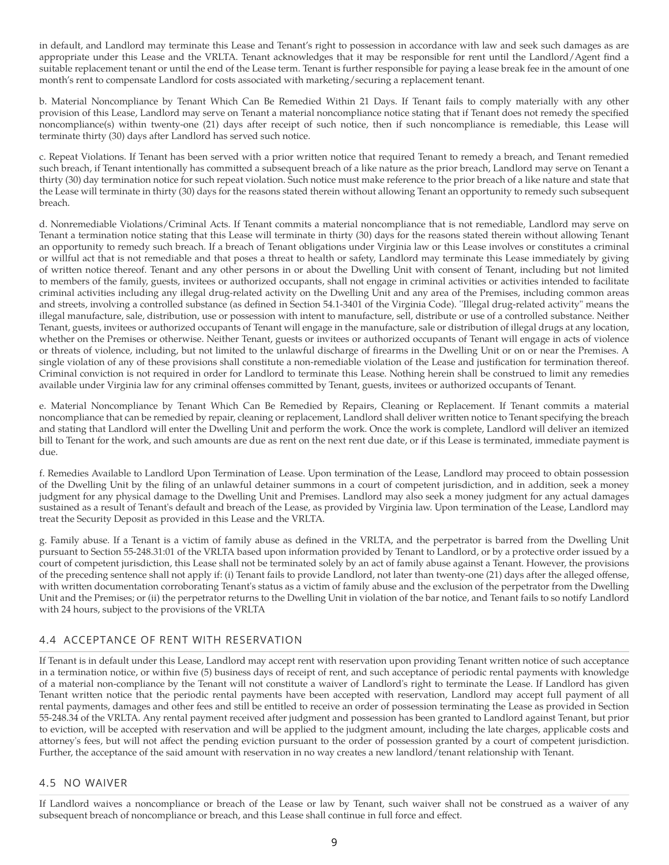in default, and Landlord may terminate this Lease and Tenant's right to possession in accordance with law and seek such damages as are appropriate under this Lease and the VRLTA. Tenant acknowledges that it may be responsible for rent until the Landlord/Agent find a suitable replacement tenant or until the end of the Lease term. Tenant is further responsible for paying a lease break fee in the amount of one month's rent to compensate Landlord for costs associated with marketing/securing a replacement tenant.

b. Material Noncompliance by Tenant Which Can Be Remedied Within 21 Days. If Tenant fails to comply materially with any other provision of this Lease, Landlord may serve on Tenant a material noncompliance notice stating that if Tenant does not remedy the specified noncompliance(s) within twenty-one (21) days after receipt of such notice, then if such noncompliance is remediable, this Lease will terminate thirty (30) days after Landlord has served such notice.

c. Repeat Violations. If Tenant has been served with a prior written notice that required Tenant to remedy a breach, and Tenant remedied such breach, if Tenant intentionally has committed a subsequent breach of a like nature as the prior breach, Landlord may serve on Tenant a thirty (30) day termination notice for such repeat violation. Such notice must make reference to the prior breach of a like nature and state that the Lease will terminate in thirty (30) days for the reasons stated therein without allowing Tenant an opportunity to remedy such subsequent breach.

d. Nonremediable Violations/Criminal Acts. If Tenant commits a material noncompliance that is not remediable, Landlord may serve on Tenant a termination notice stating that this Lease will terminate in thirty (30) days for the reasons stated therein without allowing Tenant an opportunity to remedy such breach. If a breach of Tenant obligations under Virginia law or this Lease involves or constitutes a criminal or willful act that is not remediable and that poses a threat to health or safety, Landlord may terminate this Lease immediately by giving of written notice thereof. Tenant and any other persons in or about the Dwelling Unit with consent of Tenant, including but not limited to members of the family, guests, invitees or authorized occupants, shall not engage in criminal activities or activities intended to facilitate criminal activities including any illegal drug-related activity on the Dwelling Unit and any area of the Premises, including common areas and streets, involving a controlled substance (as defined in Section 54.1-3401 of the Virginia Code). ''Illegal drug-related activity" means the illegal manufacture, sale, distribution, use or possession with intent to manufacture, sell, distribute or use of a controlled substance. Neither Tenant, guests, invitees or authorized occupants of Tenant will engage in the manufacture, sale or distribution of illegal drugs at any location, whether on the Premises or otherwise. Neither Tenant, guests or invitees or authorized occupants of Tenant will engage in acts of violence or threats of violence, including, but not limited to the unlawful discharge of firearms in the Dwelling Unit or on or near the Premises. A single violation of any of these provisions shall constitute a non-remediable violation of the Lease and justification for termination thereof. Criminal conviction is not required in order for Landlord to terminate this Lease. Nothing herein shall be construed to limit any remedies available under Virginia law for any criminal offenses committed by Tenant, guests, invitees or authorized occupants of Tenant.

e. Material Noncompliance by Tenant Which Can Be Remedied by Repairs, Cleaning or Replacement. If Tenant commits a material noncompliance that can be remedied by repair, cleaning or replacement, Landlord shall deliver written notice to Tenant specifying the breach and stating that Landlord will enter the Dwelling Unit and perform the work. Once the work is complete, Landlord will deliver an itemized bill to Tenant for the work, and such amounts are due as rent on the next rent due date, or if this Lease is terminated, immediate payment is due.

f. Remedies Available to Landlord Upon Termination of Lease. Upon termination of the Lease, Landlord may proceed to obtain possession of the Dwelling Unit by the filing of an unlawful detainer summons in a court of competent jurisdiction, and in addition, seek a money judgment for any physical damage to the Dwelling Unit and Premises. Landlord may also seek a money judgment for any actual damages sustained as a result of Tenant's default and breach of the Lease, as provided by Virginia law. Upon termination of the Lease, Landlord may treat the Security Deposit as provided in this Lease and the VRLTA.

g. Family abuse. If a Tenant is a victim of family abuse as defined in the VRLTA, and the perpetrator is barred from the Dwelling Unit pursuant to Section 55-248.31:01 of the VRLTA based upon information provided by Tenant to Landlord, or by a protective order issued by a court of competent jurisdiction, this Lease shall not be terminated solely by an act of family abuse against a Tenant. However, the provisions of the preceding sentence shall not apply if: (i) Tenant fails to provide Landlord, not later than twenty-one (21) days after the alleged offense, with written documentation corroborating Tenant's status as a victim of family abuse and the exclusion of the perpetrator from the Dwelling Unit and the Premises; or (ii) the perpetrator returns to the Dwelling Unit in violation of the bar notice, and Tenant fails to so notify Landlord with 24 hours, subject to the provisions of the VRLTA

# 4.4 ACCEPTANCE OF RENT WITH RESERVATION

If Tenant is in default under this Lease, Landlord may accept rent with reservation upon providing Tenant written notice of such acceptance in a termination notice, or within five (5) business days of receipt of rent, and such acceptance of periodic rental payments with knowledge of a material non-compliance by the Tenant will not constitute a waiver of Landlord's right to terminate the Lease. If Landlord has given Tenant written notice that the periodic rental payments have been accepted with reservation, Landlord may accept full payment of all rental payments, damages and other fees and still be entitled to receive an order of possession terminating the Lease as provided in Section 55-248.34 of the VRLTA. Any rental payment received after judgment and possession has been granted to Landlord against Tenant, but prior to eviction, will be accepted with reservation and will be applied to the judgment amount, including the late charges, applicable costs and attorney's fees, but will not affect the pending eviction pursuant to the order of possession granted by a court of competent jurisdiction. Further, the acceptance of the said amount with reservation in no way creates a new landlord/tenant relationship with Tenant.

#### 4.5 NO WAIVER

If Landlord waives a noncompliance or breach of the Lease or law by Tenant, such waiver shall not be construed as a waiver of any subsequent breach of noncompliance or breach, and this Lease shall continue in full force and effect.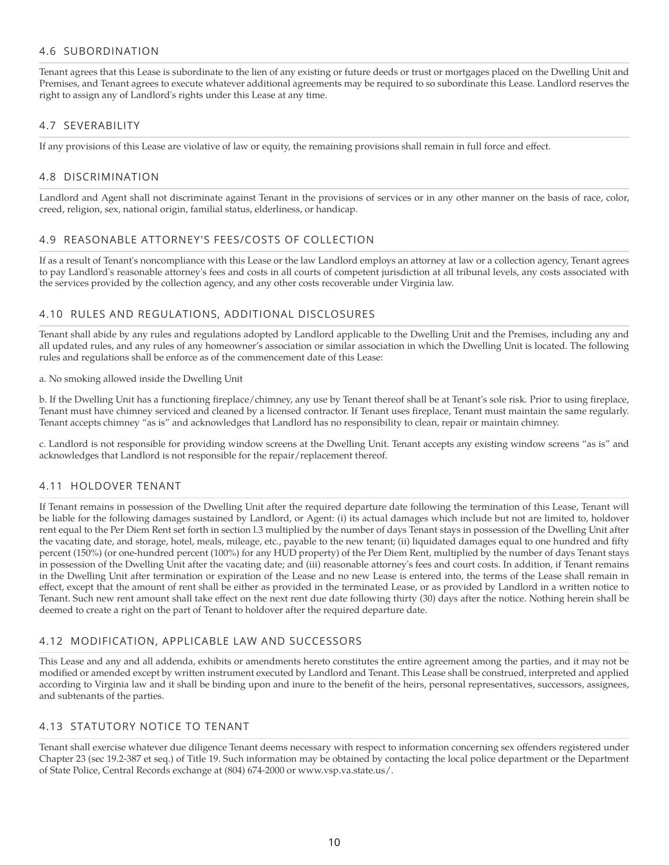#### 4.6 SUBORDINATION

Tenant agrees that this Lease is subordinate to the lien of any existing or future deeds or trust or mortgages placed on the Dwelling Unit and Premises, and Tenant agrees to execute whatever additional agreements may be required to so subordinate this Lease. Landlord reserves the right to assign any of Landlord's rights under this Lease at any time.

### 4.7 SEVERABILITY

If any provisions of this Lease are violative of law or equity, the remaining provisions shall remain in full force and effect.

### 4.8 DISCRIMINATION

Landlord and Agent shall not discriminate against Tenant in the provisions of services or in any other manner on the basis of race, color, creed, religion, sex, national origin, familial status, elderliness, or handicap.

#### 4.9 REASONABLE ATTORNEY'S FEES/COSTS OF COLLECTION

If as a result of Tenant's noncompliance with this Lease or the law Landlord employs an attorney at law or a collection agency, Tenant agrees to pay Landlord's reasonable attorney's fees and costs in all courts of competent jurisdiction at all tribunal levels, any costs associated with the services provided by the collection agency, and any other costs recoverable under Virginia law.

#### 4.10 RULES AND REGULATIONS, ADDITIONAL DISCLOSURES

Tenant shall abide by any rules and regulations adopted by Landlord applicable to the Dwelling Unit and the Premises, including any and all updated rules, and any rules of any homeowner's association or similar association in which the Dwelling Unit is located. The following rules and regulations shall be enforce as of the commencement date of this Lease:

#### a. No smoking allowed inside the Dwelling Unit

b. If the Dwelling Unit has a functioning fireplace/chimney, any use by Tenant thereof shall be at Tenant's sole risk. Prior to using fireplace, Tenant must have chimney serviced and cleaned by a licensed contractor. If Tenant uses fireplace, Tenant must maintain the same regularly. Tenant accepts chimney "as is" and acknowledges that Landlord has no responsibility to clean, repair or maintain chimney.

c. Landlord is not responsible for providing window screens at the Dwelling Unit. Tenant accepts any existing window screens "as is" and acknowledges that Landlord is not responsible for the repair/replacement thereof.

# 4.11 HOLDOVER TENANT

If Tenant remains in possession of the Dwelling Unit after the required departure date following the termination of this Lease, Tenant will be liable for the following damages sustained by Landlord, or Agent: (i) its actual damages which include but not are limited to, holdover rent equal to the Per Diem Rent set forth in section l.3 multiplied by the number of days Tenant stays in possession of the Dwelling Unit after the vacating date, and storage, hotel, meals, mileage, etc., payable to the new tenant; (ii) liquidated damages equal to one hundred and fifty percent (150%) (or one-hundred percent (100%) for any HUD property) of the Per Diem Rent, multiplied by the number of days Tenant stays in possession of the Dwelling Unit after the vacating date; and (iii) reasonable attorney's fees and court costs. In addition, if Tenant remains in the Dwelling Unit after termination or expiration of the Lease and no new Lease is entered into, the terms of the Lease shall remain in effect, except that the amount of rent shall be either as provided in the terminated Lease, or as provided by Landlord in a written notice to Tenant. Such new rent amount shall take effect on the next rent due date following thirty (30) days after the notice. Nothing herein shall be deemed to create a right on the part of Tenant to holdover after the required departure date.

#### 4.12 MODIFICATION, APPLICABLE LAW AND SUCCESSORS

This Lease and any and all addenda, exhibits or amendments hereto constitutes the entire agreement among the parties, and it may not be modified or amended except by written instrument executed by Landlord and Tenant. This Lease shall be construed, interpreted and applied according to Virginia law and it shall be binding upon and inure to the benefit of the heirs, personal representatives, successors, assignees, and subtenants of the parties.

# 4.13 STATUTORY NOTICE TO TENANT

Tenant shall exercise whatever due diligence Tenant deems necessary with respect to information concerning sex offenders registered under Chapter 23 (sec 19.2-387 et seq.) of Title 19. Such information may be obtained by contacting the local police department or the Department of State Police, Central Records exchange at (804) 674-2000 or www.vsp.va.state.us/.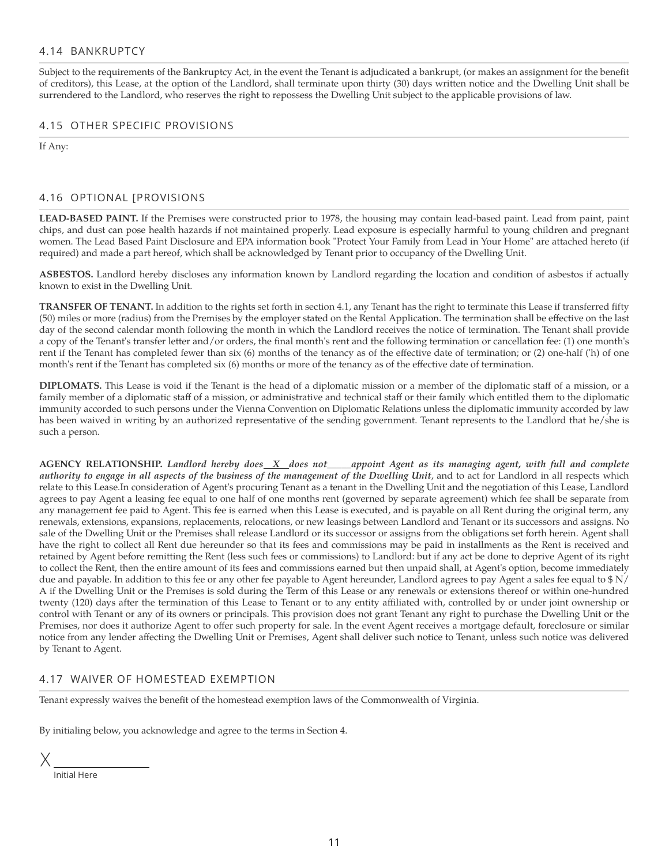#### 4.14 BANKRUPTCY

Subject to the requirements of the Bankruptcy Act, in the event the Tenant is adjudicated a bankrupt, (or makes an assignment for the benefit of creditors), this Lease, at the option of the Landlord, shall terminate upon thirty (30) days written notice and the Dwelling Unit shall be surrendered to the Landlord, who reserves the right to repossess the Dwelling Unit subject to the applicable provisions of law.

#### 4.15 OTHER SPECIFIC PROVISIONS

If Any:

#### 4.16 OPTIONAL [PROVISIONS

**LEAD-BASED PAINT.** If the Premises were constructed prior to 1978, the housing may contain lead-based paint. Lead from paint, paint chips, and dust can pose health hazards if not maintained properly. Lead exposure is especially harmful to young children and pregnant women. The Lead Based Paint Disclosure and EPA information book "Protect Your Family from Lead in Your Home" are attached hereto (if required) and made a part hereof, which shall be acknowledged by Tenant prior to occupancy of the Dwelling Unit.

**ASBESTOS.** Landlord hereby discloses any information known by Landlord regarding the location and condition of asbestos if actually known to exist in the Dwelling Unit.

**TRANSFER OF TENANT.** In addition to the rights set forth in section 4.1, any Tenant has the right to terminate this Lease if transferred fifty (50) miles or more (radius) from the Premises by the employer stated on the Rental Application. The termination shall be effective on the last day of the second calendar month following the month in which the Landlord receives the notice of termination. The Tenant shall provide a copy of the Tenant's transfer letter and/or orders, the final month's rent and the following termination or cancellation fee: (1) one month's rent if the Tenant has completed fewer than six (6) months of the tenancy as of the effective date of termination; or (2) one-half ('h) of one month's rent if the Tenant has completed six (6) months or more of the tenancy as of the effective date of termination.

**DIPLOMATS.** This Lease is void if the Tenant is the head of a diplomatic mission or a member of the diplomatic staff of a mission, or a family member of a diplomatic staff of a mission, or administrative and technical staff or their family which entitled them to the diplomatic immunity accorded to such persons under the Vienna Convention on Diplomatic Relations unless the diplomatic immunity accorded by law has been waived in writing by an authorized representative of the sending government. Tenant represents to the Landlord that he/she is such a person.

AGENCY RELATIONSHIP. Landlord hereby does X does not appoint Agent as its managing agent, with full and complete authority to engage in all aspects of the business of the management of the Dwelling Unit, and to act for Landlord in all respects which relate to this Lease.In consideration of Agent's procuring Tenant as a tenant in the Dwelling Unit and the negotiation of this Lease, Landlord agrees to pay Agent a leasing fee equal to one half of one months rent (governed by separate agreement) which fee shall be separate from any management fee paid to Agent. This fee is earned when this Lease is executed, and is payable on all Rent during the original term, any renewals, extensions, expansions, replacements, relocations, or new leasings between Landlord and Tenant or its successors and assigns. No sale of the Dwelling Unit or the Premises shall release Landlord or its successor or assigns from the obligations set forth herein. Agent shall have the right to collect all Rent due hereunder so that its fees and commissions may be paid in installments as the Rent is received and retained by Agent before remitting the Rent (less such fees or commissions) to Landlord: but if any act be done to deprive Agent of its right to collect the Rent, then the entire amount of its fees and commissions earned but then unpaid shall, at Agent's option, become immediately due and payable. In addition to this fee or any other fee payable to Agent hereunder, Landlord agrees to pay Agent a sales fee equal to \$ N/ A if the Dwelling Unit or the Premises is sold during the Term of this Lease or any renewals or extensions thereof or within one-hundred twenty (120) days after the termination of this Lease to Tenant or to any entity affiliated with, controlled by or under joint ownership or control with Tenant or any of its owners or principals. This provision does not grant Tenant any right to purchase the Dwelling Unit or the Premises, nor does it authorize Agent to offer such property for sale. In the event Agent receives a mortgage default, foreclosure or similar notice from any lender affecting the Dwelling Unit or Premises, Agent shall deliver such notice to Tenant, unless such notice was delivered by Tenant to Agent.

### 4.17 WAIVER OF HOMESTEAD EXEMPTION

Tenant expressly waives the benefit of the homestead exemption laws of the Commonwealth of Virginia.

By initialing below, you acknowledge and agree to the terms in Section 4.

X

Initial Here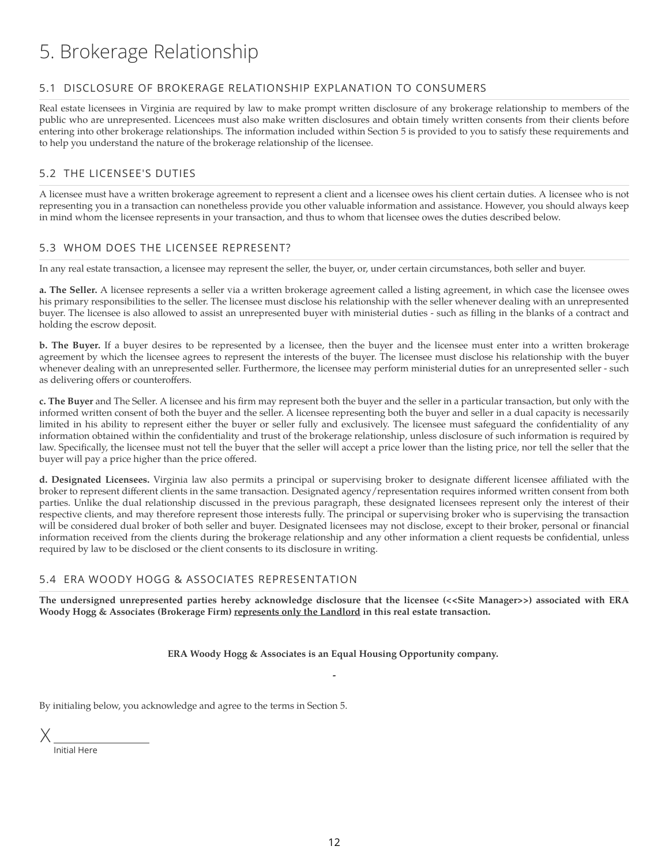# 5. Brokerage Relationship

### 5.1 DISCLOSURE OF BROKERAGE RELATIONSHIP EXPLANATION TO CONSUMERS

Real estate licensees in Virginia are required by law to make prompt written disclosure of any brokerage relationship to members of the public who are unrepresented. Licencees must also make written disclosures and obtain timely written consents from their clients before entering into other brokerage relationships. The information included within Section 5 is provided to you to satisfy these requirements and to help you understand the nature of the brokerage relationship of the licensee.

# 5.2 THE LICENSEE'S DUTIES

A licensee must have a written brokerage agreement to represent a client and a licensee owes his client certain duties. A licensee who is not representing you in a transaction can nonetheless provide you other valuable information and assistance. However, you should always keep in mind whom the licensee represents in your transaction, and thus to whom that licensee owes the duties described below.

#### 5.3 WHOM DOES THE LICENSEE REPRESENT?

In any real estate transaction, a licensee may represent the seller, the buyer, or, under certain circumstances, both seller and buyer.

**a. The Seller.** A licensee represents a seller via a written brokerage agreement called a listing agreement, in which case the licensee owes his primary responsibilities to the seller. The licensee must disclose his relationship with the seller whenever dealing with an unrepresented buyer. The licensee is also allowed to assist an unrepresented buyer with ministerial duties - such as filling in the blanks of a contract and holding the escrow deposit.

**b. The Buyer.** If a buyer desires to be represented by a licensee, then the buyer and the licensee must enter into a written brokerage agreement by which the licensee agrees to represent the interests of the buyer. The licensee must disclose his relationship with the buyer whenever dealing with an unrepresented seller. Furthermore, the licensee may perform ministerial duties for an unrepresented seller - such as delivering offers or counteroffers.

**c. The Buyer** and The Seller. A licensee and his firm may represent both the buyer and the seller in a particular transaction, but only with the informed written consent of both the buyer and the seller. A licensee representing both the buyer and seller in a dual capacity is necessarily limited in his ability to represent either the buyer or seller fully and exclusively. The licensee must safeguard the confidentiality of any information obtained within the confidentiality and trust of the brokerage relationship, unless disclosure of such information is required by law. Specifically, the licensee must not tell the buyer that the seller will accept a price lower than the listing price, nor tell the seller that the buyer will pay a price higher than the price offered.

**d. Designated Licensees.** Virginia law also permits a principal or supervising broker to designate different licensee affiliated with the broker to represent different clients in the same transaction. Designated agency/representation requires informed written consent from both parties. Unlike the dual relationship discussed in the previous paragraph, these designated licensees represent only the interest of their respective clients, and may therefore represent those interests fully. The principal or supervising broker who is supervising the transaction will be considered dual broker of both seller and buyer. Designated licensees may not disclose, except to their broker, personal or financial information received from the clients during the brokerage relationship and any other information a client requests be confidential, unless required by law to be disclosed or the client consents to its disclosure in writing.

# 5.4 ERA WOODY HOGG & ASSOCIATES REPRESENTATION

The undersigned unrepresented parties hereby acknowledge disclosure that the licensee (<<Site Manager>>) associated with ERA **Woody Hogg & Associates (Brokerage Firm) represents only the Landlord in this real estate transaction.**

> **ERA Woody Hogg & Associates is an Equal Housing Opportunity company. -**

By initialing below, you acknowledge and agree to the terms in Section 5.

X

Initial Here